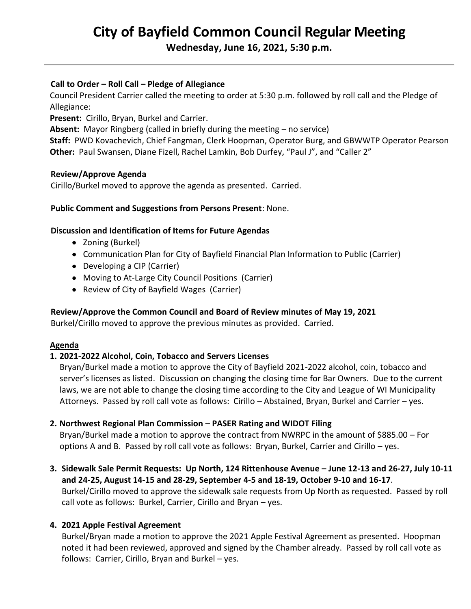# **City of Bayfield Common Council Regular Meeting**

**Wednesday, June 16, 2021, 5:30 p.m.** 

## **Call to Order – Roll Call – Pledge of Allegiance**

Council President Carrier called the meeting to order at 5:30 p.m. followed by roll call and the Pledge of Allegiance:

**Present:** Cirillo, Bryan, Burkel and Carrier.

**Absent:** Mayor Ringberg (called in briefly during the meeting – no service)

**Staff:** PWD Kovachevich, Chief Fangman, Clerk Hoopman, Operator Burg, and GBWWTP Operator Pearson **Other:** Paul Swansen, Diane Fizell, Rachel Lamkin, Bob Durfey, "Paul J", and "Caller 2"

### **Review/Approve Agenda**

Cirillo/Burkel moved to approve the agenda as presented. Carried.

#### **Public Comment and Suggestions from Persons Present**: None.

### **Discussion and Identification of Items for Future Agendas**

- Zoning (Burkel)
- Communication Plan for City of Bayfield Financial Plan Information to Public (Carrier)
- Developing a CIP (Carrier)
- Moving to At-Large City Council Positions (Carrier)
- Review of City of Bayfield Wages (Carrier)

### **Review/Approve the Common Council and Board of Review minutes of May 19, 2021**

Burkel/Cirillo moved to approve the previous minutes as provided. Carried.

#### **Agenda**

### **1. 2021-2022 Alcohol, Coin, Tobacco and Servers Licenses**

 Bryan/Burkel made a motion to approve the City of Bayfield 2021-2022 alcohol, coin, tobacco and server's licenses as listed. Discussion on changing the closing time for Bar Owners. Due to the current laws, we are not able to change the closing time according to the City and League of WI Municipality Attorneys. Passed by roll call vote as follows: Cirillo – Abstained, Bryan, Burkel and Carrier – yes.

### **2. Northwest Regional Plan Commission – PASER Rating and WIDOT Filing**

 Bryan/Burkel made a motion to approve the contract from NWRPC in the amount of \$885.00 – For options A and B. Passed by roll call vote as follows: Bryan, Burkel, Carrier and Cirillo – yes.

**3. Sidewalk Sale Permit Requests: Up North, 124 Rittenhouse Avenue – June 12-13 and 26-27, July 10-11 and 24-25, August 14-15 and 28-29, September 4-5 and 18-19, October 9-10 and 16-17**. Burkel/Cirillo moved to approve the sidewalk sale requests from Up North as requested. Passed by roll call vote as follows: Burkel, Carrier, Cirillo and Bryan – yes.

### **4. 2021 Apple Festival Agreement**

 Burkel/Bryan made a motion to approve the 2021 Apple Festival Agreement as presented. Hoopman noted it had been reviewed, approved and signed by the Chamber already. Passed by roll call vote as follows: Carrier, Cirillo, Bryan and Burkel – yes.